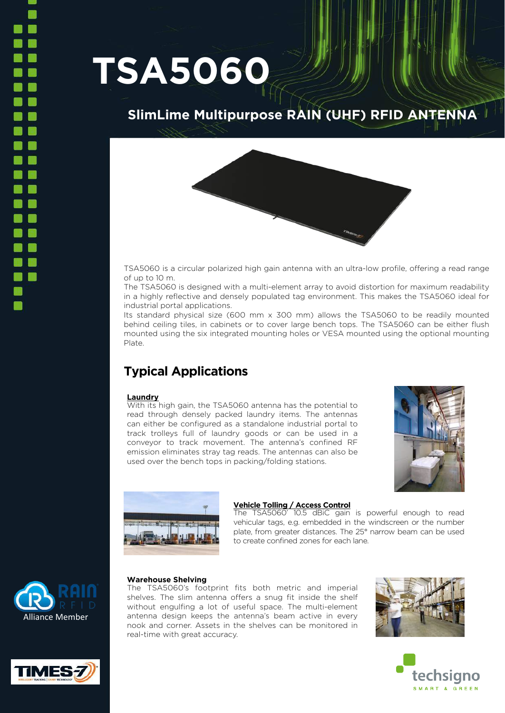# **TSA5060**

# **SlimLime Multipurpose RAIN (UHF) RFID ANTENNA**



TSA5060 is a circular polarized high gain antenna with an ultra-low profile, offering a read range of up to 10 m.

The TSA5060 is designed with a multi-element array to avoid distortion for maximum readability in a highly reflective and densely populated tag environment. This makes the TSA5060 ideal for industrial portal applications.

Its standard physical size (600 mm x 300 mm) allows the TSA5060 to be readily mounted behind ceiling tiles, in cabinets or to cover large bench tops. The TSA5060 can be either flush mounted using the six integrated mounting holes or VESA mounted using the optional mounting Plate.

# **Typical Applications**

## **Laundry**

With its high gain, the TSA5060 antenna has the potential to read through densely packed laundry items. The antennas can either be configured as a standalone industrial portal to track trolleys full of laundry goods or can be used in a conveyor to track movement. The antenna's confined RF emission eliminates stray tag reads. The antennas can also be used over the bench tops in packing/folding stations.





## **Vehicle Tolling / Access Control**

The TSA5060' 10.5 dBiC gain is powerful enough to read vehicular tags, e.g. embedded in the windscreen or the number plate, from greater distances. The 25° narrow beam can be used to create confined zones for each lane.



## **Warehouse Shelving**

The TSA5060's footprint fits both metric and imperial shelves. The slim antenna offers a snug fit inside the shelf without engulfing a lot of useful space. The multi-element antenna design keeps the antenna's beam active in every nook and corner. Assets in the shelves can be monitored in real-time with great accuracy.





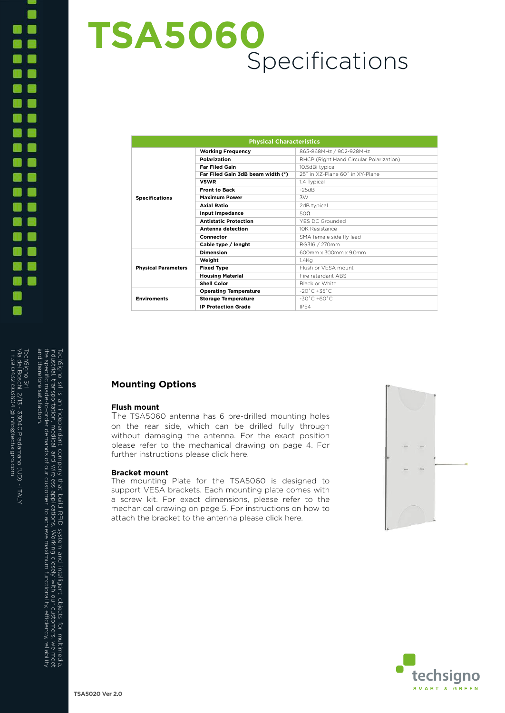# Via dei Boschi, 2/13 - 33040 Pradamano (UD) - ITALY TechSigno Srl industrial, transportation, medical, and wireless applications. Working closely with our customers, we meetla,<br>the specific made-to-order demands of our customer to achieve maximum functionality, efficiency, reliability<br>an and therefore satisfaction. the specific made-to-order demands of our customer to achieve maximum functionality, e industrial, transportation, medical, and wireless applications. Working closely with our customers, we meet a dei Boschi, 2/13 - 33040 Pradamano (UD) - ITALY<br>+39 0432 603604 @ info@techsigno.com igno Srl ciency, reliability

T +39 0432 603604 @ info@techsigno.com

TechSigno srl is an independent company that build RFID system and intelligent objects for multimedia,

# **TSA5060** Specifications

| <b>Physical Characteristics</b> |                                   |                                         |
|---------------------------------|-----------------------------------|-----------------------------------------|
| <b>Specifications</b>           | <b>Working Frequency</b>          | 865-868MHz / 902-928MHz                 |
|                                 | <b>Polarization</b>               | RHCP (Right Hand Circular Polarization) |
|                                 | <b>Far Filed Gain</b>             | 10.5dBi typical                         |
|                                 | Far Filed Gain 3dB beam width (*) | 25° in X7-Plane 60° in XY-Plane         |
|                                 | <b>VSWR</b>                       | 1.4 Typical                             |
|                                 | <b>Front to Back</b>              | $-25dB$                                 |
|                                 | <b>Maximum Power</b>              | 3W                                      |
|                                 | <b>Axial Ratio</b>                | 2dB typical                             |
|                                 | Input Impedance                   | 50Ω                                     |
|                                 | <b>Antistatic Protection</b>      | YES DC Grounded                         |
|                                 | Antenna detection                 | 10K Resistance                          |
|                                 | Connector                         | SMA female side fly lead                |
|                                 | Cable type / lenght               | RG316 / 270mm                           |
| <b>Physical Parameters</b>      | <b>Dimension</b>                  | 600mm x 300mm x 90mm                    |
|                                 | Weight                            | $1.4$ Ka                                |
|                                 | <b>Fixed Type</b>                 | Flush or VESA mount                     |
|                                 | <b>Housing Material</b>           | Fire retardant ABS                      |
|                                 | Shell Color                       | Black or White                          |
| <b>Enviroments</b>              | <b>Operating Temperature</b>      | $-20^{\circ}$ C $+35^{\circ}$ C         |
|                                 | <b>Storage Temperature</b>        | $-30^{\circ}$ C $+60^{\circ}$ C         |
|                                 | <b>IP Protection Grade</b>        | <b>IP54</b>                             |

## **Mounting Options**

#### **Flush mount**

The TSA5060 antenna has 6 pre-drilled mounting holes on the rear side, which can be drilled fully through without damaging the antenna. For the exact position please refer to the mechanical drawing on page 4. For further instructions please click here.

#### **Bracket mount**

The mounting Plate for the TSA5060 is designed to support VESA brackets. Each mounting plate comes with a screw kit. For exact dimensions, please refer to the mechanical drawing on page 5. For instructions on how to attach the bracket to the antenna please click here.